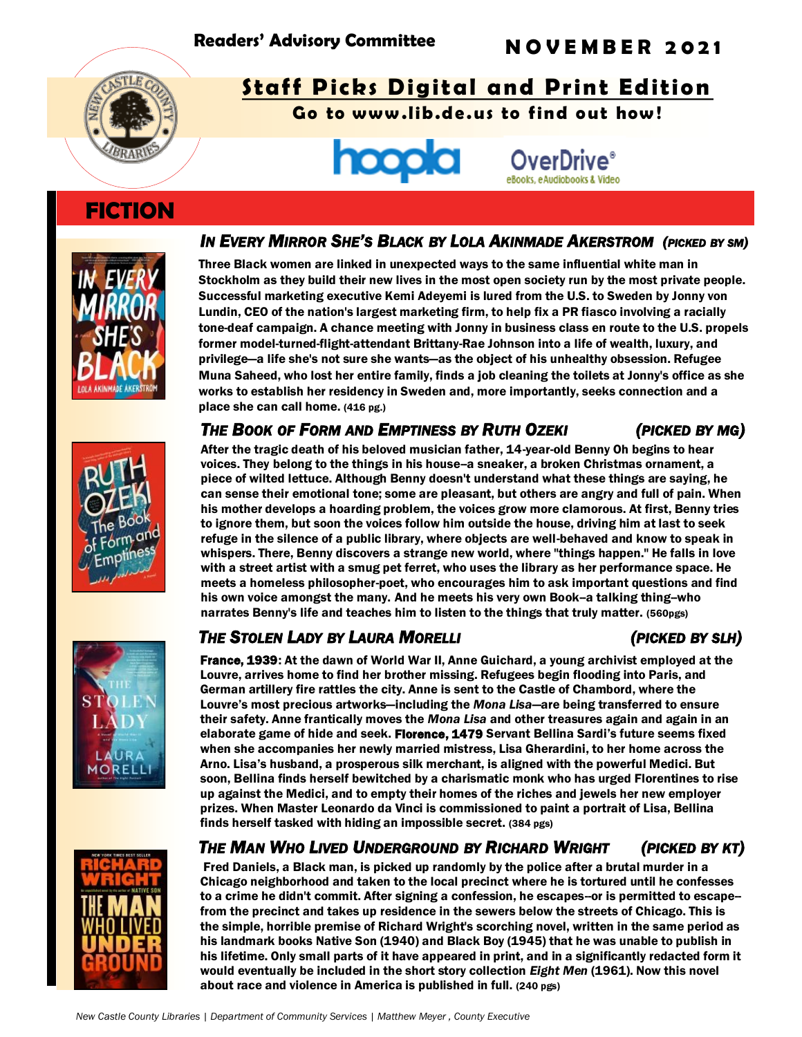

# **Staff Picks Digital and Print Edition**

Go to www.lib.de.us to find out how!



# **FICTION**



### IN EVERY MIRROR SHE'S BLACK BY LOLA AKINMADE AKERSTROM (PICKED BY SM)

Three Black women are linked in unexpected ways to the same influential white man in Stockholm as they build their new lives in the most open society run by the most private people. Successful marketing executive Kemi Adeyemi is lured from the U.S. to Sweden by Jonny von Lundin, CEO of the nation's largest marketing firm, to help fix a PR fiasco involving a racially tone-deaf campaign. A chance meeting with Jonny in business class en route to the U.S. propels former model-turned-flight-attendant Brittany-Rae Johnson into a life of wealth, luxury, and privilege—a life she's not sure she wants—as the object of his unhealthy obsession. Refugee Muna Saheed, who lost her entire family, finds a job cleaning the toilets at Jonny's office as she works to establish her residency in Sweden and, more importantly, seeks connection and a place she can call home. (416 pg.)

## THE BOOK OF FORM AND EMPTINESS BY RUTH OZEKI (PICKED BY MG)

After the tragic death of his beloved musician father, 14-year-old Benny Oh begins to hear voices. They belong to the things in his house-a sneaker, a broken Christmas ornament, a piece of wilted lettuce. Although Benny doesn't understand what these things are saying, he can sense their emotional tone; some are pleasant, but others are angry and full of pain. When his mother develops a hoarding problem, the voices grow more clamorous. At first, Benny tries to ignore them, but soon the voices follow him outside the house, driving him at last to seek refuge in the silence of a public library, where objects are well-behaved and know to speak in whispers. There, Benny discovers a strange new world, where "things happen." He falls in love with a street artist with a smug pet ferret, who uses the library as her performance space. He meets a homeless philosopher-poet, who encourages him to ask important questions and find his own voice amongst the many. And he meets his very own Book-a talking thing-who narrates Benny's life and teaches him to listen to the things that truly matter. (560pgs)

# *THE STOLEN LADY BY LAURA MORELLI (PICKED BY SLH)*

France, 1939: At the dawn of World War II, Anne Guichard, a young archivist employed at the Louvre, arrives home to find her brother missing. Refugees begin flooding into Paris, and German artillery fire rattles the city. Anne is sent to the Castle of Chambord, where the Louvre's most precious artworks—including the *Mona Lisa*—are being transferred to ensure their safety. Anne frantically moves the *Mona Lisa* and other treasures again and again in an elaborate game of hide and seek. Florence, 1479 Servant Bellina Sardi's future seems fixed when she accompanies her newly married mistress, Lisa Gherardini, to her home across the Arno. Lisa's husband, a prosperous silk merchant, is aligned with the powerful Medici. But soon, Bellina finds herself bewitched by a charismatic monk who has urged Florentines to rise up against the Medici, and to empty their homes of the riches and jewels her new employer prizes. When Master Leonardo da Vinci is commissioned to paint a portrait of Lisa, Bellina finds herself tasked with hiding an impossible secret. (384 pgs)

*THE MAN WHO LIVED UNDERGROUND BY RICHARD WRIGHT (PICKED BY KT)* 

Fred Daniels, a Black man, is picked up randomly by the police after a brutal murder in a Chicago neighborhood and taken to the local precinct where he is tortured until he confesses to a crime he didn't commit. After signing a confession, he escapes--or is permitted to escape- from the precinct and takes up residence in the sewers below the streets of Chicago. This is the simple, horrible premise of Richard Wright's scorching novel, written in the same period as his landmark books Native Son (1940) and Black Boy (1945) that he was unable to publish in his lifetime. Only small parts of it have appeared in print, and in a significantly redacted form it would eventually be included in the short story collection *Eight Men* (1961). Now this novel about race and violence in America is published in full. (240 pgs)





 $11R$ **MORELL**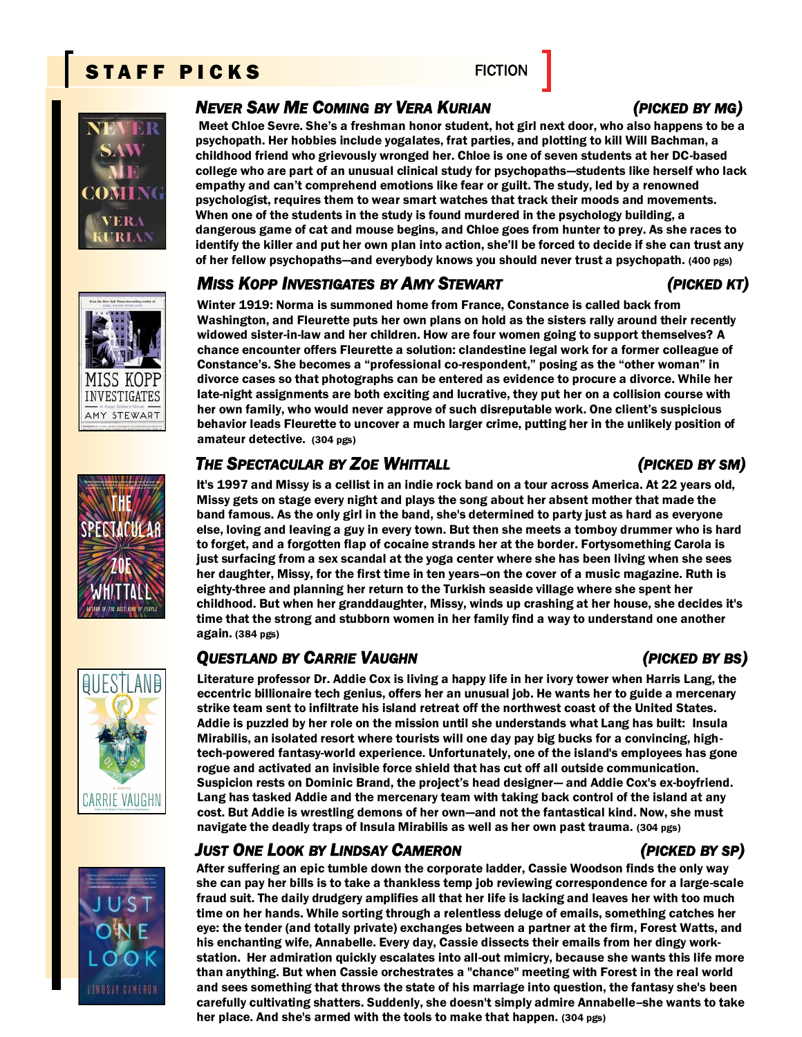# STAFF PICKS FICTION



MISS KOPF INVESTIGATES AMY STEWART

### *NEVER SAW ME COMING BY VERA KURIAN (PICKED BY MG)*

Meet Chloe Sevre. She's a freshman honor student, hot girl next door, who also happens to be a psychopath. Her hobbies include yogalates, frat parties, and plotting to kill Will Bachman, a childhood friend who grievously wronged her. Chloe is one of seven students at her DC-based college who are part of an unusual clinical study for psychopaths—students like herself who lack empathy and can't comprehend emotions like fear or guilt. The study, led by a renowned psychologist, requires them to wear smart watches that track their moods and movements. When one of the students in the study is found murdered in the psychology building, a dangerous game of cat and mouse begins, and Chloe goes from hunter to prey. As she races to identify the killer and put her own plan into action, she'll be forced to decide if she can trust any of her fellow psychopaths—and everybody knows you should never trust a psychopath. (400 pgs)

### *MISS KOPP INVESTIGATES BY AMY STEWART (PICKED KT)*

Winter 1919: Norma is summoned home from France, Constance is called back from Washington, and Fleurette puts her own plans on hold as the sisters rally around their recently widowed sister-in-law and her children. How are four women going to support themselves? A chance encounter offers Fleurette a solution: clandestine legal work for a former colleague of Constance's. She becomes a "professional co-respondent," posing as the "other woman" in divorce cases so that photographs can be entered as evidence to procure a divorce. While her late-night assignments are both exciting and lucrative, they put her on a collision course with her own family, who would never approve of such disreputable work. One client's suspicious behavior leads Fleurette to uncover a much larger crime, putting her in the unlikely position of amateur detective. (304 pgs)

## *THE SPECTACULAR BY ZOE WHITTALL (PICKED BY SM)*

It's 1997 and Missy is a cellist in an indie rock band on a tour across America. At 22 years old, Missy gets on stage every night and plays the song about her absent mother that made the band famous. As the only girl in the band, she's determined to party just as hard as everyone else, loving and leaving a guy in every town. But then she meets a tomboy drummer who is hard to forget, and a forgotten flap of cocaine strands her at the border. Fortysomething Carola is just surfacing from a sex scandal at the yoga center where she has been living when she sees her daughter, Missy, for the first time in ten years-on the cover of a music magazine. Ruth is eighty-three and planning her return to the Turkish seaside village where she spent her childhood. But when her granddaughter, Missy, winds up crashing at her house, she decides it's time that the strong and stubborn women in her family find a way to understand one another again. (384 pgs)

# *QUESTLAND BY CARRIE VAUGHN (PICKED BY BS)*

Literature professor Dr. Addie Cox is living a happy life in her ivory tower when Harris Lang, the eccentric billionaire tech genius, offers her an unusual job. He wants her to guide a mercenary strike team sent to infiltrate his island retreat off the northwest coast of the United States. Addie is puzzled by her role on the mission until she understands what Lang has built: Insula Mirabilis, an isolated resort where tourists will one day pay big bucks for a convincing, hightech-powered fantasy-world experience. Unfortunately, one of the island's employees has gone rogue and activated an invisible force shield that has cut off all outside communication. Suspicion rests on Dominic Brand, the project's head designer— and Addie Cox's ex-boyfriend. Lang has tasked Addie and the mercenary team with taking back control of the island at any cost. But Addie is wrestling demons of her own—and not the fantastical kind. Now, she must navigate the deadly traps of Insula Mirabilis as well as her own past trauma. (304 pgs)

## *JUST ONE LOOK BY LINDSAY CAMERON (PICKED BY SP)*

After suffering an epic tumble down the corporate ladder, Cassie Woodson finds the only way she can pay her bills is to take a thankless temp job reviewing correspondence for a large-scale fraud suit. The daily drudgery amplifies all that her life is lacking and leaves her with too much time on her hands. While sorting through a relentless deluge of emails, something catches her eye: the tender (and totally private) exchanges between a partner at the firm, Forest Watts, and his enchanting wife, Annabelle. Every day, Cassie dissects their emails from her dingy workstation. Her admiration quickly escalates into all-out mimicry, because she wants this life more than anything. But when Cassie orchestrates a "chance" meeting with Forest in the real world and sees something that throws the state of his marriage into question, the fantasy she's been carefully cultivating shatters. Suddenly, she doesn't simply admire Annabelle--she wants to take her place. And she's armed with the tools to make that happen. (304 pgs)



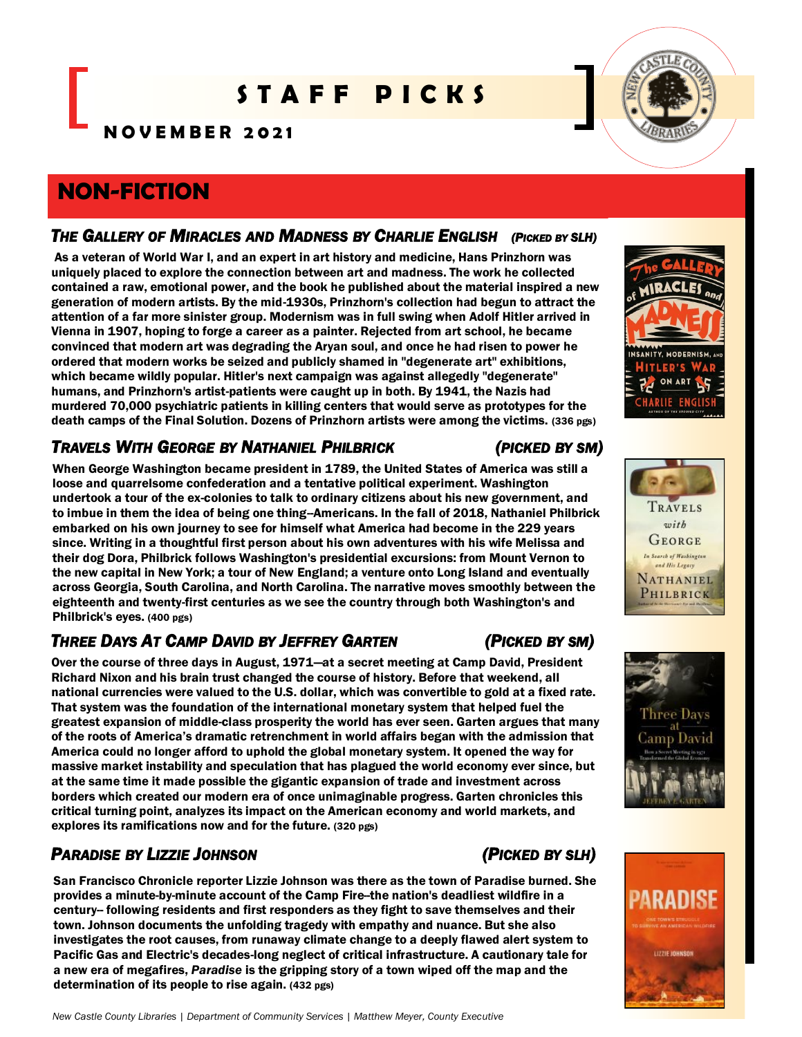# S T A F F P I C K S

**N O V E M B E R 2 0 2 1**

# **NON-FICTION**

### THE GALLERY OF MIRACLES AND MADNESS BY CHARLIE ENGLISH (PICKED BY SLH)

As a veteran of World War I, and an expert in art history and medicine, Hans Prinzhorn was uniquely placed to explore the connection between art and madness. The work he collected contained a raw, emotional power, and the book he published about the material inspired a new generation of modern artists. By the mid-1930s, Prinzhorn's collection had begun to attract the attention of a far more sinister group. Modernism was in full swing when Adolf Hitler arrived in Vienna in 1907, hoping to forge a career as a painter. Rejected from art school, he became convinced that modern art was degrading the Aryan soul, and once he had risen to power he ordered that modern works be seized and publicly shamed in "degenerate art" exhibitions, which became wildly popular. Hitler's next campaign was against allegedly "degenerate" humans, and Prinzhorn's artist-patients were caught up in both. By 1941, the Nazis had murdered 70,000 psychiatric patients in killing centers that would serve as prototypes for the death camps of the Final Solution. Dozens of Prinzhorn artists were among the victims. (336 pgs)

# *TRAVELS WITH GEORGE BY NATHANIEL PHILBRICK (PICKED BY SM)*

When George Washington became president in 1789, the United States of America was still a loose and quarrelsome confederation and a tentative political experiment. Washington undertook a tour of the ex-colonies to talk to ordinary citizens about his new government, and to imbue in them the idea of being one thing-Americans. In the fall of 2018, Nathaniel Philbrick embarked on his own journey to see for himself what America had become in the 229 years since. Writing in a thoughtful first person about his own adventures with his wife Melissa and their dog Dora, Philbrick follows Washington's presidential excursions: from Mount Vernon to the new capital in New York; a tour of New England; a venture onto Long Island and eventually across Georgia, South Carolina, and North Carolina. The narrative moves smoothly between the eighteenth and twenty-first centuries as we see the country through both Washington's and Philbrick's eyes. (400 pgs)

# *THREE DAYS AT CAMP DAVID BY JEFFREY GARTEN (PICKED BY SM)*

Over the course of three days in August, 1971—at a secret meeting at Camp David, President Richard Nixon and his brain trust changed the course of history. Before that weekend, all national currencies were valued to the U.S. dollar, which was convertible to gold at a fixed rate. That system was the foundation of the international monetary system that helped fuel the greatest expansion of middle-class prosperity the world has ever seen. Garten argues that many of the roots of America's dramatic retrenchment in world affairs began with the admission that America could no longer afford to uphold the global monetary system. It opened the way for massive market instability and speculation that has plagued the world economy ever since, but at the same time it made possible the gigantic expansion of trade and investment across borders which created our modern era of once unimaginable progress. Garten chronicles this critical turning point, analyzes its impact on the American economy and world markets, and explores its ramifications now and for the future. (320 pgs)

# *PARADISE BY LIZZIE JOHNSON (PICKED BY SLH)*

San Francisco Chronicle reporter Lizzie Johnson was there as the town of Paradise burned. She provides a minute-by-minute account of the Camp Fire--the nation's deadliest wildfire in a century-- following residents and first responders as they fight to save themselves and their town. Johnson documents the unfolding tragedy with empathy and nuance. But she also investigates the root causes, from runaway climate change to a deeply flawed alert system to Pacific Gas and Electric's decades-long neglect of critical infrastructure. A cautionary tale for a new era of megafires, *Paradise* is the gripping story of a town wiped off the map and the determination of its people to rise again. (432 pgs)